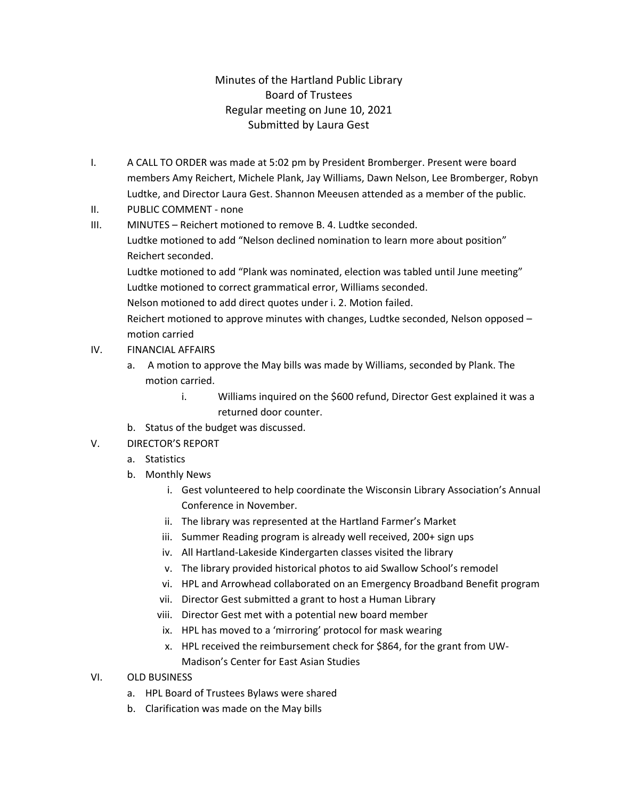## Minutes of the Hartland Public Library Board of Trustees Regular meeting on June 10, 2021 Submitted by Laura Gest

- I. A CALL TO ORDER was made at 5:02 pm by President Bromberger. Present were board members Amy Reichert, Michele Plank, Jay Williams, Dawn Nelson, Lee Bromberger, Robyn Ludtke, and Director Laura Gest. Shannon Meeusen attended as a member of the public.
- II. PUBLIC COMMENT none
- III. MINUTES Reichert motioned to remove B. 4. Ludtke seconded. Ludtke motioned to add "Nelson declined nomination to learn more about position" Reichert seconded. Ludtke motioned to add "Plank was nominated, election was tabled until June meeting" Ludtke motioned to correct grammatical error, Williams seconded. Nelson motioned to add direct quotes under i. 2. Motion failed. Reichert motioned to approve minutes with changes, Ludtke seconded, Nelson opposed – motion carried
- IV. FINANCIAL AFFAIRS
	- a. A motion to approve the May bills was made by Williams, seconded by Plank. The motion carried.
		- i. Williams inquired on the \$600 refund, Director Gest explained it was a returned door counter.
	- b. Status of the budget was discussed.
- V. DIRECTOR'S REPORT
	- a. Statistics
	- b. Monthly News
		- i. Gest volunteered to help coordinate the Wisconsin Library Association's Annual Conference in November.
		- ii. The library was represented at the Hartland Farmer's Market
		- iii. Summer Reading program is already well received, 200+ sign ups
		- iv. All Hartland-Lakeside Kindergarten classes visited the library
		- v. The library provided historical photos to aid Swallow School's remodel
		- vi. HPL and Arrowhead collaborated on an Emergency Broadband Benefit program
		- vii. Director Gest submitted a grant to host a Human Library
		- viii. Director Gest met with a potential new board member
		- ix. HPL has moved to a 'mirroring' protocol for mask wearing
		- x. HPL received the reimbursement check for \$864, for the grant from UW-Madison's Center for East Asian Studies

## VI. OLD BUSINESS

- a. HPL Board of Trustees Bylaws were shared
- b. Clarification was made on the May bills